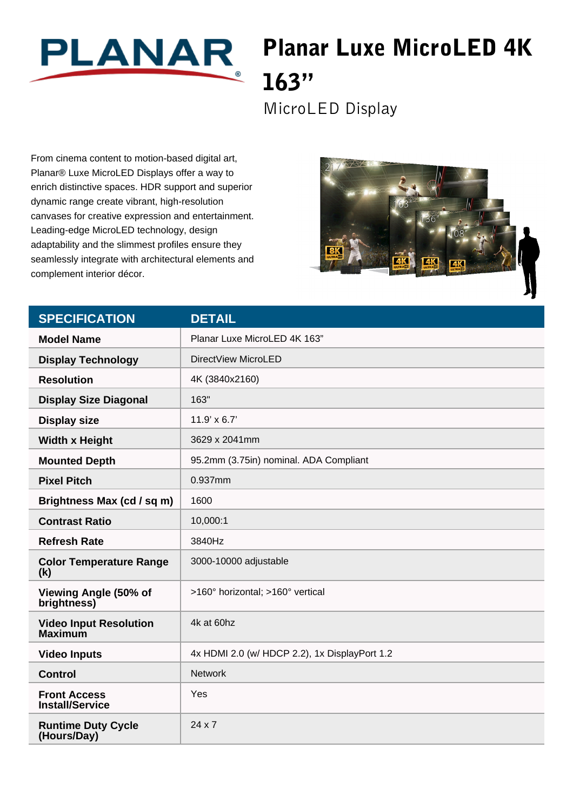

## Planar Luxe MicroLED 4K 163"

MicroLED Display

From cinema content to motion-based digital art, Planar® Luxe MicroLED Displays offer a way to enrich distinctive spaces. HDR support and superior dynamic range create vibrant, high-resolution canvases for creative expression and entertainment. Leading-edge MicroLED technology, design adaptability and the slimmest profiles ensure they seamlessly integrate with architectural elements and complement interior décor.



| <b>SPECIFICATION</b>                            | <b>DETAIL</b>                                 |
|-------------------------------------------------|-----------------------------------------------|
| <b>Model Name</b>                               | Planar Luxe MicroLED 4K 163"                  |
| <b>Display Technology</b>                       | DirectView MicroLED                           |
| <b>Resolution</b>                               | 4K (3840x2160)                                |
| <b>Display Size Diagonal</b>                    | 163"                                          |
| <b>Display size</b>                             | $11.9' \times 6.7'$                           |
| <b>Width x Height</b>                           | 3629 x 2041mm                                 |
| <b>Mounted Depth</b>                            | 95.2mm (3.75in) nominal. ADA Compliant        |
| <b>Pixel Pitch</b>                              | 0.937mm                                       |
| Brightness Max (cd / sq m)                      | 1600                                          |
| <b>Contrast Ratio</b>                           | 10,000:1                                      |
| <b>Refresh Rate</b>                             | 3840Hz                                        |
| <b>Color Temperature Range</b><br>(k)           | 3000-10000 adjustable                         |
| Viewing Angle (50% of<br>brightness)            | >160° horizontal; >160° vertical              |
| <b>Video Input Resolution</b><br><b>Maximum</b> | 4k at 60hz                                    |
| <b>Video Inputs</b>                             | 4x HDMI 2.0 (w/ HDCP 2.2), 1x DisplayPort 1.2 |
| <b>Control</b>                                  | <b>Network</b>                                |
| <b>Front Access</b><br><b>Install/Service</b>   | Yes                                           |
| <b>Runtime Duty Cycle</b><br>(Hours/Day)        | $24 \times 7$                                 |